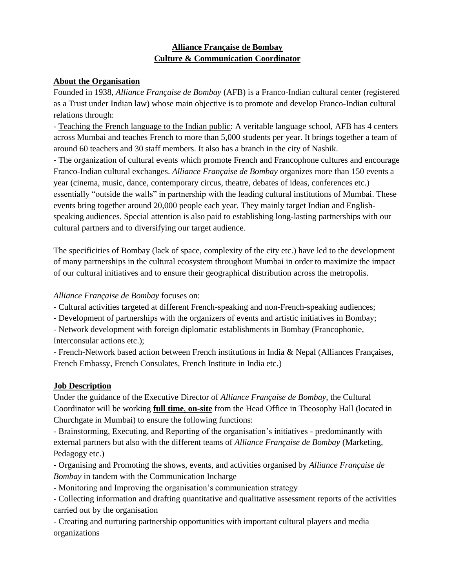### **Alliance Française de Bombay Culture & Communication Coordinator**

#### **About the Organisation**

Founded in 1938, *Alliance Française de Bombay* (AFB) is a Franco-Indian cultural center (registered as a Trust under Indian law) whose main objective is to promote and develop Franco-Indian cultural relations through:

- Teaching the French language to the Indian public: A veritable language school, AFB has 4 centers across Mumbai and teaches French to more than 5,000 students per year. It brings together a team of around 60 teachers and 30 staff members. It also has a branch in the city of Nashik.

- The organization of cultural events which promote French and Francophone cultures and encourage Franco-Indian cultural exchanges. *Alliance Française de Bombay* organizes more than 150 events a year (cinema, music, dance, contemporary circus, theatre, debates of ideas, conferences etc.) essentially "outside the walls" in partnership with the leading cultural institutions of Mumbai. These events bring together around 20,000 people each year. They mainly target Indian and Englishspeaking audiences. Special attention is also paid to establishing long-lasting partnerships with our cultural partners and to diversifying our target audience.

The specificities of Bombay (lack of space, complexity of the city etc.) have led to the development of many partnerships in the cultural ecosystem throughout Mumbai in order to maximize the impact of our cultural initiatives and to ensure their geographical distribution across the metropolis.

#### *Alliance Française de Bombay* focuses on:

- Cultural activities targeted at different French-speaking and non-French-speaking audiences;

- Development of partnerships with the organizers of events and artistic initiatives in Bombay;

- Network development with foreign diplomatic establishments in Bombay (Francophonie, Interconsular actions etc.);

- French-Network based action between French institutions in India & Nepal (Alliances Françaises, French Embassy, French Consulates, French Institute in India etc.)

### **Job Description**

Under the guidance of the Executive Director of *Alliance Française de Bombay*, the Cultural Coordinator will be working **full time**, **on-site** from the Head Office in Theosophy Hall (located in Churchgate in Mumbai) to ensure the following functions:

- Brainstorming, Executing, and Reporting of the organisation's initiatives - predominantly with external partners but also with the different teams of *Alliance Française de Bombay* (Marketing, Pedagogy etc.)

- Organising and Promoting the shows, events, and activities organised by *Alliance Française de Bombay* in tandem with the Communication Incharge

- Monitoring and Improving the organisation's communication strategy

- Collecting information and drafting quantitative and qualitative assessment reports of the activities carried out by the organisation

- Creating and nurturing partnership opportunities with important cultural players and media organizations